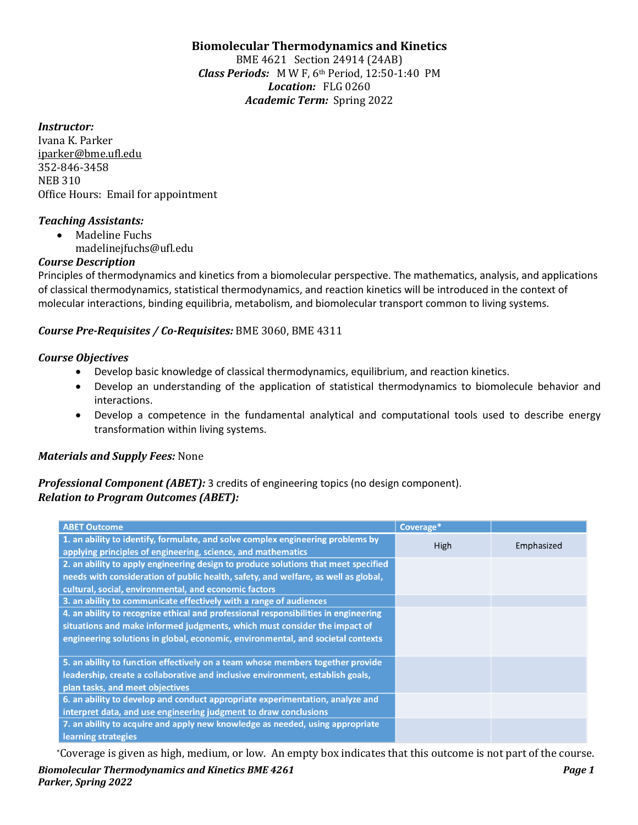# **Biomolecular Thermodynamics and Kinetics**

BME 4621 Section 24914 (24AB) *Class Periods:* MW F, 6th Period, 12:50-1:40 PM Location: FLG 0260 Academic Term: Spring 2022

### *Instructor:*

Ivana K. Parker iparker@bme.ufl.edu 352-846-3458 **NEB 310** Office Hours: Email for appointment

#### *Teaching Assistants:*

- Madeline Fuchs
	- madelinejfuchs@ufl.edu

# *Course Description*

Principles of thermodynamics and kinetics from a biomolecular perspective. The mathematics, analysis, and applications of classical thermodynamics, statistical thermodynamics, and reaction kinetics will be introduced in the context of molecular interactions, binding equilibria, metabolism, and biomolecular transport common to living systems.

# Course Pre-Requisites / Co-Requisites: BME 3060, BME 4311

# *Course Objectives*

- Develop basic knowledge of classical thermodynamics, equilibrium, and reaction kinetics.
- Develop an understanding of the application of statistical thermodynamics to biomolecule behavior and interactions.
- Develop a competence in the fundamental analytical and computational tools used to describe energy transformation within living systems.

# *Materials and Supply Fees: None*

# *Professional Component (ABET):* 3 credits of engineering topics (no design component). **Relation to Program Outcomes (ABET):**

| <b>ABET Outcome</b>                                                                 | Coverage* |            |
|-------------------------------------------------------------------------------------|-----------|------------|
| 1. an ability to identify, formulate, and solve complex engineering problems by     | High      | Emphasized |
| applying principles of engineering, science, and mathematics                        |           |            |
| 2. an ability to apply engineering design to produce solutions that meet specified  |           |            |
| needs with consideration of public health, safety, and welfare, as well as global,  |           |            |
| cultural, social, environmental, and economic factors                               |           |            |
| 3. an ability to communicate effectively with a range of audiences                  |           |            |
| 4. an ability to recognize ethical and professional responsibilities in engineering |           |            |
| situations and make informed judgments, which must consider the impact of           |           |            |
| engineering solutions in global, economic, environmental, and societal contexts     |           |            |
|                                                                                     |           |            |
| 5. an ability to function effectively on a team whose members together provide      |           |            |
| leadership, create a collaborative and inclusive environment, establish goals,      |           |            |
| plan tasks, and meet objectives                                                     |           |            |
| 6. an ability to develop and conduct appropriate experimentation, analyze and       |           |            |
| interpret data, and use engineering judgment to draw conclusions                    |           |            |
| 7. an ability to acquire and apply new knowledge as needed, using appropriate       |           |            |
| learning strategies                                                                 |           |            |

*Biomolecular Thermodynamics and Kinetics BME 4261 Page 1 Page 1 Parker, Spring 2022* \*Coverage is given as high, medium, or low. An empty box indicates that this outcome is not part of the course.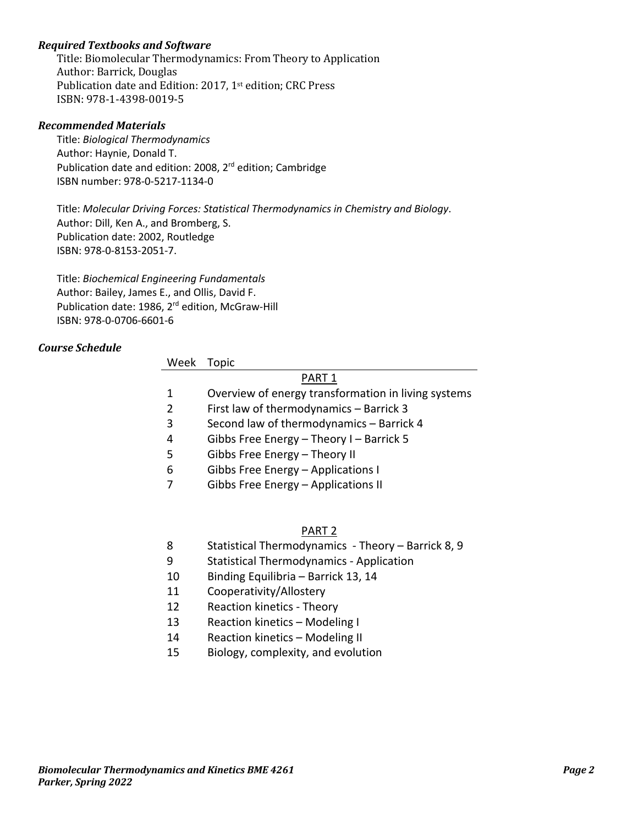# *Required Textbooks and Software*

Title: Biomolecular Thermodynamics: From Theory to Application Author: Barrick, Douglas Publication date and Edition: 2017, 1<sup>st</sup> edition; CRC Press ISBN: 978-1-4398-0019-5

#### *Recommended Materials*

Title: *Biological Thermodynamics* Author: Haynie, Donald T. Publication date and edition: 2008, 2<sup>rd</sup> edition; Cambridge ISBN number: 978-0-5217-1134-0

Title: *Molecular Driving Forces: Statistical Thermodynamics in Chemistry and Biology*. Author: Dill, Ken A., and Bromberg, S. Publication date: 2002, Routledge ISBN: 978-0-8153-2051-7.

Title: *Biochemical Engineering Fundamentals* Author: Bailey, James E., and Ollis, David F. Publication date: 1986, 2<sup>rd</sup> edition, McGraw-Hill ISBN: 978-0-0706-6601-6

# *Course Schedule*

| Week           | Topic                                               |  |  |  |
|----------------|-----------------------------------------------------|--|--|--|
| PART 1         |                                                     |  |  |  |
| 1              | Overview of energy transformation in living systems |  |  |  |
| $\overline{2}$ | First law of thermodynamics - Barrick 3             |  |  |  |
| 3              | Second law of thermodynamics - Barrick 4            |  |  |  |
| 4              | Gibbs Free Energy - Theory I - Barrick 5            |  |  |  |
| 5              | Gibbs Free Energy - Theory II                       |  |  |  |
| 6              | Gibbs Free Energy - Applications I                  |  |  |  |
|                | Gibbs Free Energy - Applications II                 |  |  |  |
|                |                                                     |  |  |  |
|                |                                                     |  |  |  |

## PART 2

- 8 Statistical Thermodynamics Theory Barrick 8, 9
- 9 Statistical Thermodynamics Application
- 10 Binding Equilibria Barrick 13, 14
- 11 Cooperativity/Allostery
- 12 Reaction kinetics Theory
- 13 Reaction kinetics Modeling I
- 14 Reaction kinetics Modeling II
- 15 Biology, complexity, and evolution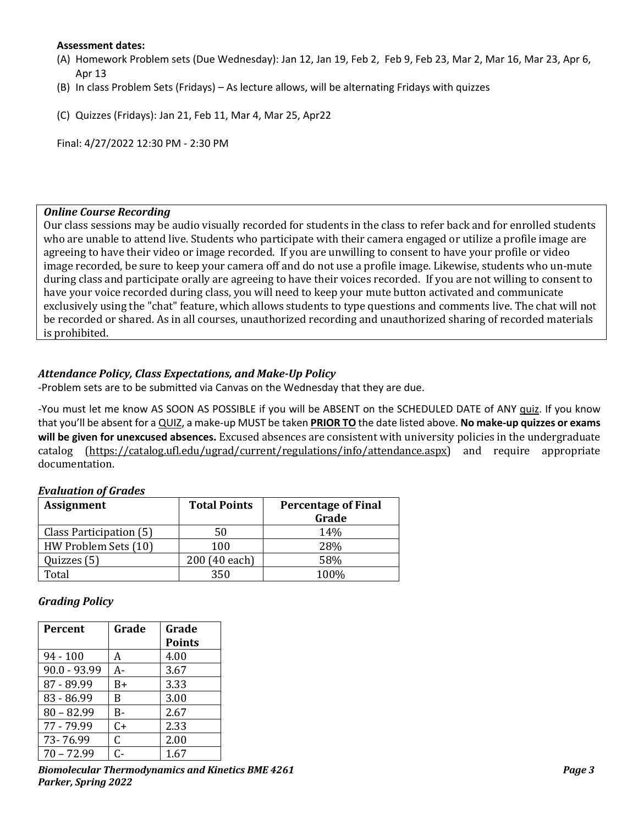### **Assessment dates:**

- (A) Homework Problem sets (Due Wednesday): Jan 12, Jan 19, Feb 2, Feb 9, Feb 23, Mar 2, Mar 16, Mar 23, Apr 6, Apr 13
- (B) In class Problem Sets (Fridays) As lecture allows, will be alternating Fridays with quizzes

(C) Quizzes (Fridays): Jan 21, Feb 11, Mar 4, Mar 25, Apr22

Final: 4/27/2022 12:30 PM - 2:30 PM

#### **Online Course Recording**

Our class sessions may be audio visually recorded for students in the class to refer back and for enrolled students who are unable to attend live. Students who participate with their camera engaged or utilize a profile image are agreeing to have their video or image recorded. If you are unwilling to consent to have your profile or video image recorded, be sure to keep your camera off and do not use a profile image. Likewise, students who un-mute during class and participate orally are agreeing to have their voices recorded. If you are not willing to consent to have your voice recorded during class, you will need to keep your mute button activated and communicate exclusively using the "chat" feature, which allows students to type questions and comments live. The chat will not be recorded or shared. As in all courses, unauthorized recording and unauthorized sharing of recorded materials is prohibited.

# *Attendance Policy, Class Expectations, and Make-Up Policy*

-Problem sets are to be submitted via Canvas on the Wednesday that they are due.

-You must let me know AS SOON AS POSSIBLE if you will be ABSENT on the SCHEDULED DATE of ANY quiz. If you know that you'll be absent for a QUIZ, a make-up MUST be taken **PRIOR TO** the date listed above. **No make-up quizzes or exams will be given for unexcused absences.** Excused absences are consistent with university policies in the undergraduate catalog (https://catalog.ufl.edu/ugrad/current/regulations/info/attendance.aspx) and require appropriate documentation.

#### *Evaluation of Grades*

| <b>Assignment</b>       | <b>Total Points</b> | <b>Percentage of Final</b> |  |
|-------------------------|---------------------|----------------------------|--|
|                         |                     | Grade                      |  |
| Class Participation (5) | 50                  | 14%                        |  |
| HW Problem Sets (10)    | 100                 | 28%                        |  |
| Quizzes (5)             | 200 (40 each)       | 58%                        |  |
| Total                   | 350                 | 100%                       |  |

#### *Grading Policy*

| <b>Percent</b> | Grade | Grade<br><b>Points</b> |
|----------------|-------|------------------------|
| $94 - 100$     | А     | 4.00                   |
| $90.0 - 93.99$ | А-    | 3.67                   |
| 87 - 89.99     | B+    | 3.33                   |
| 83 - 86.99     | B     | 3.00                   |
| $80 - 82.99$   | B-    | 2.67                   |
| 77 - 79.99     | $C+$  | 2.33                   |
| 73-76.99       | C.    | 2.00                   |
| $70 - 72.99$   | ር-    | 1.67                   |

*Biomolecular Thermodynamics and Kinetics BME 4261 Page 3* **Parker, Spring 2022**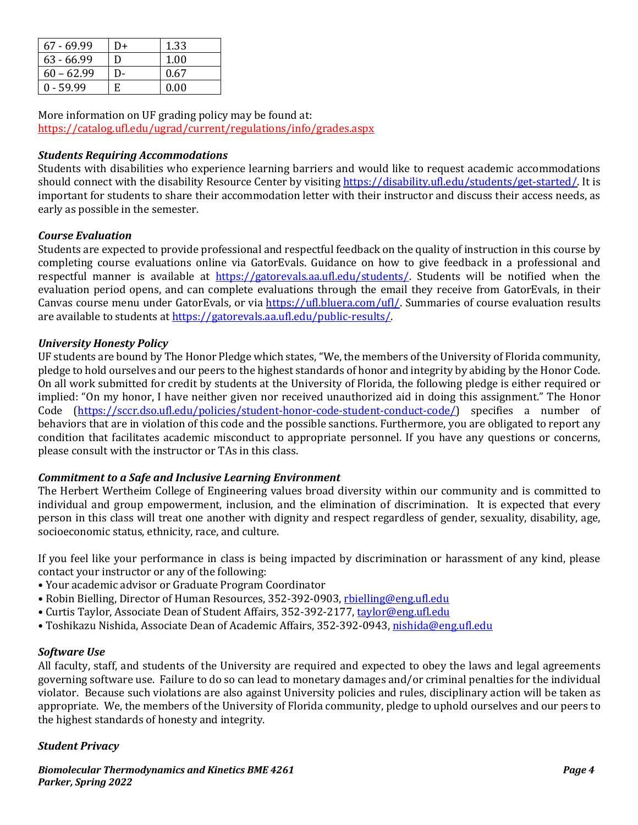| $67 - 69.99$ | D+ | 1.33 |
|--------------|----|------|
| $63 - 66.99$ | D  | 1.00 |
| $60 - 62.99$ | D- | 0.67 |
| $0 - 59.99$  | E  | 0.00 |

More information on UF grading policy may be found at: https://catalog.ufl.edu/ugrad/current/regulations/info/grades.aspx

# *Students Requiring Accommodations*

Students with disabilities who experience learning barriers and would like to request academic accommodations should connect with the disability Resource Center by visiting https://disability.ufl.edu/students/get-started/. It is important for students to share their accommodation letter with their instructor and discuss their access needs, as early as possible in the semester.

# *Course Evaluation*

Students are expected to provide professional and respectful feedback on the quality of instruction in this course by completing course evaluations online via GatorEvals. Guidance on how to give feedback in a professional and respectful manner is available at https://gatorevals.aa.ufl.edu/students/. Students will be notified when the evaluation period opens, and can complete evaluations through the email they receive from GatorEvals, in their Canvas course menu under GatorEvals, or via https://ufl.bluera.com/ufl/. Summaries of course evaluation results are available to students at https://gatorevals.aa.ufl.edu/public-results/.

# *University Honesty Policy*

UF students are bound by The Honor Pledge which states, "We, the members of the University of Florida community, pledge to hold ourselves and our peers to the highest standards of honor and integrity by abiding by the Honor Code. On all work submitted for credit by students at the University of Florida, the following pledge is either required or implied: "On my honor, I have neither given nor received unauthorized aid in doing this assignment." The Honor Code (https://sccr.dso.ufl.edu/policies/student-honor-code-student-conduct-code/) specifies a number of behaviors that are in violation of this code and the possible sanctions. Furthermore, you are obligated to report any condition that facilitates academic misconduct to appropriate personnel. If you have any questions or concerns, please consult with the instructor or TAs in this class.

# *Commitment to a Safe and Inclusive Learning Environment*

The Herbert Wertheim College of Engineering values broad diversity within our community and is committed to individual and group empowerment, inclusion, and the elimination of discrimination. It is expected that every person in this class will treat one another with dignity and respect regardless of gender, sexuality, disability, age, socioeconomic status, ethnicity, race, and culture.

If you feel like your performance in class is being impacted by discrimination or harassment of any kind, please contact your instructor or any of the following:

- Your academic advisor or Graduate Program Coordinator
- Robin Bielling, Director of Human Resources, 352-392-0903, rbielling@eng.ufl.edu
- Curtis Taylor, Associate Dean of Student Affairs, 352-392-2177, taylor@eng.ufl.edu
- Toshikazu Nishida, Associate Dean of Academic Affairs, 352-392-0943, nishida@eng.ufl.edu

#### *Software Use*

All faculty, staff, and students of the University are required and expected to obey the laws and legal agreements governing software use. Failure to do so can lead to monetary damages and/or criminal penalties for the individual violator. Because such violations are also against University policies and rules, disciplinary action will be taken as appropriate. We, the members of the University of Florida community, pledge to uphold ourselves and our peers to the highest standards of honesty and integrity.

# *Student Privacy*